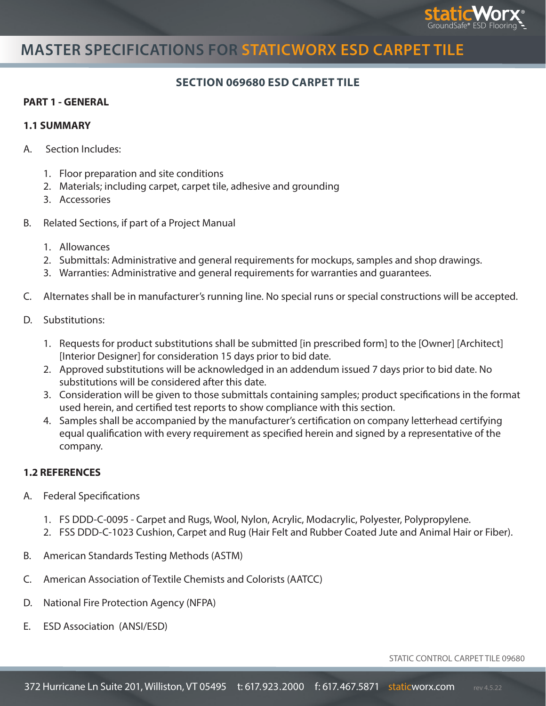

# **MASTER SPECIFICATIONS FOR STATICWORX ESD CARPET TILE**

### **SECTION 069680 ESD CARPET TILE**

#### **PART 1 - GENERAL**

#### **1.1 SUMMARY**

- A. Section Includes:
	- 1. Floor preparation and site conditions
	- 2. Materials; including carpet, carpet tile, adhesive and grounding
	- 3. Accessories
- B. Related Sections, if part of a Project Manual
	- 1. Allowances
	- 2. Submittals: Administrative and general requirements for mockups, samples and shop drawings.
	- 3. Warranties: Administrative and general requirements for warranties and guarantees.
- C. Alternates shall be in manufacturer's running line. No special runs or special constructions will be accepted.
- D. Substitutions:
	- 1. Requests for product substitutions shall be submitted [in prescribed form] to the [Owner] [Architect] [Interior Designer] for consideration 15 days prior to bid date.
	- 2. Approved substitutions will be acknowledged in an addendum issued 7 days prior to bid date. No substitutions will be considered after this date.
	- 3. Consideration will be given to those submittals containing samples; product specifications in the format used herein, and certified test reports to show compliance with this section.
	- 4. Samples shall be accompanied by the manufacturer's certification on company letterhead certifying equal qualification with every requirement as specified herein and signed by a representative of the company.

### **1.2 REFERENCES**

- A. Federal Specifications
	- 1. FS DDD-C-0095 Carpet and Rugs, Wool, Nylon, Acrylic, Modacrylic, Polyester, Polypropylene.
	- 2. FSS DDD-C-1023 Cushion, Carpet and Rug (Hair Felt and Rubber Coated Jute and Animal Hair or Fiber).
- B. American Standards Testing Methods (ASTM)
- C. American Association of Textile Chemists and Colorists (AATCC)
- D. National Fire Protection Agency (NFPA)
- E. ESD Association (ANSI/ESD)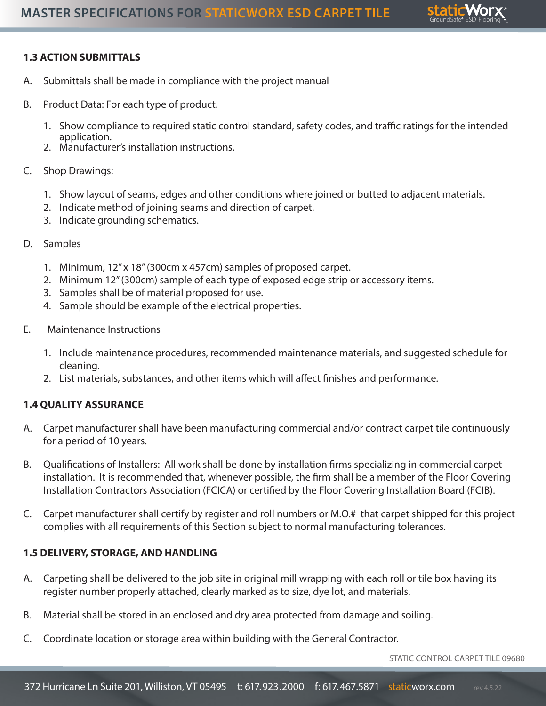

## **1.3 ACTION SUBMITTALS**

- A. Submittals shall be made in compliance with the project manual
- B. Product Data: For each type of product.
	- 1. Show compliance to required static control standard, safety codes, and traffic ratings for the intended application.
	- 2. Manufacturer's installation instructions.
- C. Shop Drawings:
	- 1. Show layout of seams, edges and other conditions where joined or butted to adjacent materials.
	- 2. Indicate method of joining seams and direction of carpet.
	- 3. Indicate grounding schematics.
- D. Samples
	- 1. Minimum, 12" x 18" (300cm x 457cm) samples of proposed carpet.
	- 2. Minimum 12" (300cm) sample of each type of exposed edge strip or accessory items.
	- 3. Samples shall be of material proposed for use.
	- 4. Sample should be example of the electrical properties.
- E. Maintenance Instructions
	- 1. Include maintenance procedures, recommended maintenance materials, and suggested schedule for cleaning.
	- 2. List materials, substances, and other items which will affect finishes and performance.

### **1.4 QUALITY ASSURANCE**

- A. Carpet manufacturer shall have been manufacturing commercial and/or contract carpet tile continuously for a period of 10 years.
- B. Qualifications of Installers: All work shall be done by installation firms specializing in commercial carpet installation. It is recommended that, whenever possible, the firm shall be a member of the Floor Covering Installation Contractors Association (FCICA) or certified by the Floor Covering Installation Board (FCIB).
- C. Carpet manufacturer shall certify by register and roll numbers or M.O.# that carpet shipped for this project complies with all requirements of this Section subject to normal manufacturing tolerances.

### **1.5 DELIVERY, STORAGE, AND HANDLING**

- A. Carpeting shall be delivered to the job site in original mill wrapping with each roll or tile box having its register number properly attached, clearly marked as to size, dye lot, and materials.
- B. Material shall be stored in an enclosed and dry area protected from damage and soiling.
- C. Coordinate location or storage area within building with the General Contractor.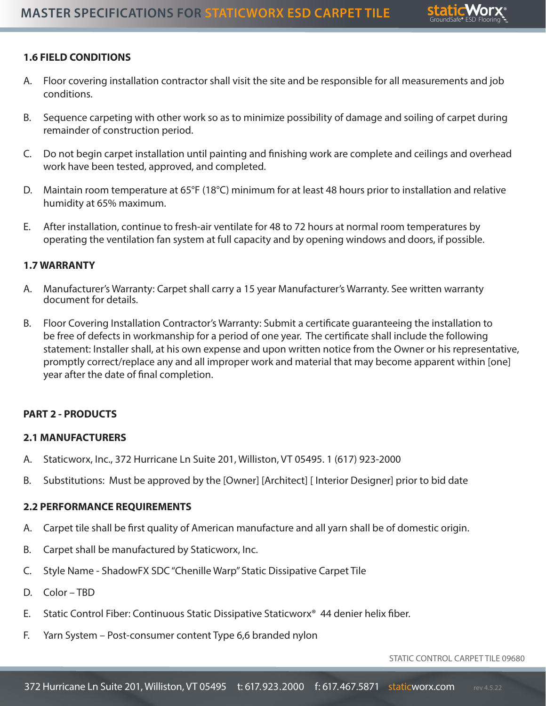

## **1.6 FIELD CONDITIONS**

- A. Floor covering installation contractor shall visit the site and be responsible for all measurements and job conditions.
- B. Sequence carpeting with other work so as to minimize possibility of damage and soiling of carpet during remainder of construction period.
- C. Do not begin carpet installation until painting and finishing work are complete and ceilings and overhead work have been tested, approved, and completed.
- D. Maintain room temperature at 65°F (18°C) minimum for at least 48 hours prior to installation and relative humidity at 65% maximum.
- E. After installation, continue to fresh-air ventilate for 48 to 72 hours at normal room temperatures by operating the ventilation fan system at full capacity and by opening windows and doors, if possible.

## **1.7 WARRANTY**

- A. Manufacturer's Warranty: Carpet shall carry a 15 year Manufacturer's Warranty. See written warranty document for details.
- B. Floor Covering Installation Contractor's Warranty: Submit a certificate guaranteeing the installation to be free of defects in workmanship for a period of one year. The certificate shall include the following statement: Installer shall, at his own expense and upon written notice from the Owner or his representative, promptly correct/replace any and all improper work and material that may become apparent within [one] year after the date of final completion.

## **PART 2 - PRODUCTS**

## **2.1 MANUFACTURERS**

- A. Staticworx, Inc., 372 Hurricane Ln Suite 201, Williston, VT 05495. 1 (617) 923-2000
- B. Substitutions: Must be approved by the [Owner] [Architect] [ Interior Designer] prior to bid date

## **2.2 PERFORMANCE REQUIREMENTS**

- A. Carpet tile shall be first quality of American manufacture and all yarn shall be of domestic origin.
- B. Carpet shall be manufactured by Staticworx, Inc.
- C. Style Name ShadowFX SDC "Chenille Warp" Static Dissipative Carpet Tile
- D. Color TBD
- E. Static Control Fiber: Continuous Static Dissipative Staticworx® 44 denier helix fiber.
- F. Yarn System Post-consumer content Type 6,6 branded nylon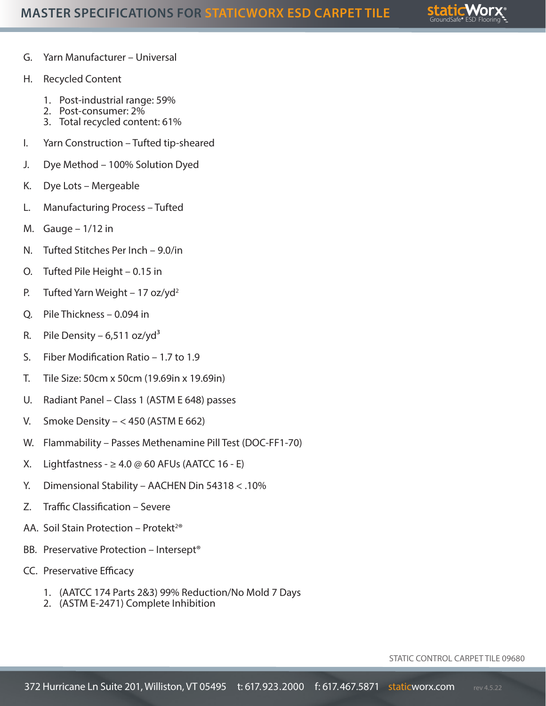

- G. Yarn Manufacturer Universal
- H. Recycled Content
	- 1. Post-industrial range: 59%
	- 2. Post-consumer: 2%
	- 3. Total recycled content: 61%
- I. Yarn Construction Tufted tip-sheared
- J. Dye Method 100% Solution Dyed
- K. Dye Lots Mergeable
- L. Manufacturing Process Tufted
- M. Gauge  $-1/12$  in
- N. Tufted Stitches Per Inch 9.0/in
- O. Tufted Pile Height 0.15 in
- P. Tufted Yarn Weight 17 oz/yd<sup>2</sup>
- Q. Pile Thickness 0.094 in
- R. Pile Density 6,511 oz/yd<sup>3</sup>
- S. Fiber Modification Ratio 1.7 to 1.9
- T. Tile Size: 50cm x 50cm (19.69in x 19.69in)
- U. Radiant Panel Class 1 (ASTM E 648) passes
- V. Smoke Density  $< 450$  (ASTM E 662)
- W. Flammability Passes Methenamine Pill Test (DOC-FF1-70)
- X. Lightfastness  $\geq 4.0 \oslash 60$  AFUs (AATCC 16 E)
- Y. Dimensional Stability AACHEN Din 54318 < .10%
- Z. Traffic Classification Severe
- AA. Soil Stain Protection Protekt<sup>2®</sup>
- BB. Preservative Protection Intersept®
- CC. Preservative Efficacy
	- 1. (AATCC 174 Parts 2&3) 99% Reduction/No Mold 7 Days
	- 2. (ASTM E-2471) Complete Inhibition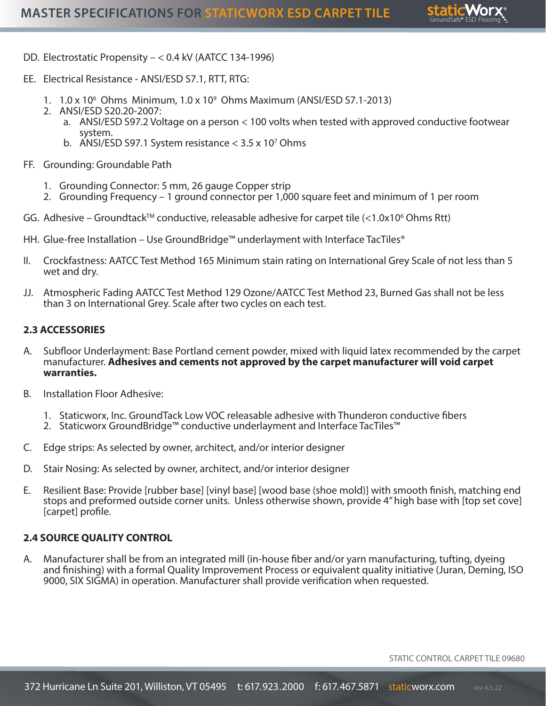

- DD. Electrostatic Propensity < 0.4 kV (AATCC 134-1996)
- EE. Electrical Resistance ANSI/ESD S7.1, RTT, RTG:
	- 1. 1.0 x 106 Ohms Minimum, 1.0 x 109 Ohms Maximum (ANSI/ESD S7.1-2013)
	- 2. ANSI/ESD S20.20-2007:
		- a. ANSI/ESD S97.2 Voltage on a person < 100 volts when tested with approved conductive footwear system.
		- b. ANSI/ESD S97.1 System resistance  $<$  3.5 x 10<sup>7</sup> Ohms
- FF. Grounding: Groundable Path
	- 1. Grounding Connector: 5 mm, 26 gauge Copper strip
	- 2. Grounding Frequency 1 ground connector per 1,000 square feet and minimum of 1 per room
- GG. Adhesive Groundtack™ conductive, releasable adhesive for carpet tile  $\left\langle \right.$ <1.0x10<sup>6</sup> Ohms Rtt)
- HH. Glue-free Installation Use GroundBridge™ underlayment with Interface TacTiles®
- II. Crockfastness: AATCC Test Method 165 Minimum stain rating on International Grey Scale of not less than 5 wet and dry.
- JJ. Atmospheric Fading AATCC Test Method 129 Ozone/AATCC Test Method 23, Burned Gas shall not be less than 3 on International Grey. Scale after two cycles on each test.

#### **2.3 ACCESSORIES**

- A. Subfloor Underlayment: Base Portland cement powder, mixed with liquid latex recommended by the carpet manufacturer. **Adhesives and cements not approved by the carpet manufacturer will void carpet warranties.**
- B. Installation Floor Adhesive:
	- 1. Staticworx, Inc. GroundTack Low VOC releasable adhesive with Thunderon conductive fibers
	- 2. Staticworx GroundBridge™ conductive underlayment and Interface TacTiles™
- C. Edge strips: As selected by owner, architect, and/or interior designer
- D. Stair Nosing: As selected by owner, architect, and/or interior designer
- E. Resilient Base: Provide [rubber base] [vinyl base] [wood base (shoe mold)] with smooth finish, matching end stops and preformed outside corner units. Unless otherwise shown, provide 4" high base with [top set cove] [carpet] profile.

#### **2.4 SOURCE QUALITY CONTROL**

A. Manufacturer shall be from an integrated mill (in-house fiber and/or yarn manufacturing, tufting, dyeing and finishing) with a formal Quality Improvement Process or equivalent quality initiative (Juran, Deming, ISO 9000, SIX SIGMA) in operation. Manufacturer shall provide verification when requested.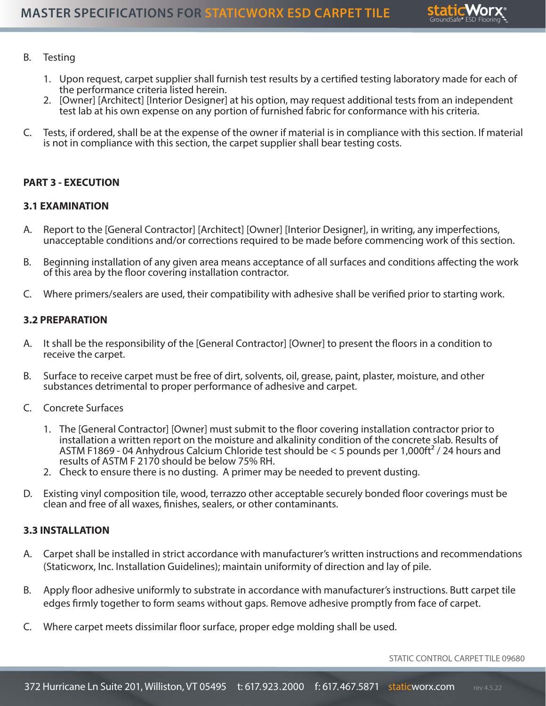

#### B. Testing

- 1. Upon request, carpet supplier shall furnish test results by a certified testing laboratory made for each of the performance criteria listed herein.
- 2. [Owner] [Architect] [Interior Designer] at his option, may request additional tests from an independent test lab at his own expense on any portion of furnished fabric for conformance with his criteria.
- C. Tests, if ordered, shall be at the expense of the owner if material is in compliance with this section. If material is not in compliance with this section, the carpet supplier shall bear testing costs.

#### **PART 3 - EXECUTION**

#### **3.1 EXAMINATION**

- A. Report to the [General Contractor] [Architect] [Owner] [Interior Designer], in writing, any imperfections, unacceptable conditions and/or corrections required to be made before commencing work of this section.
- B. Beginning installation of any given area means acceptance of all surfaces and conditions affecting the work of this area by the floor covering installation contractor.
- C. Where primers/sealers are used, their compatibility with adhesive shall be verified prior to starting work.

#### **3.2 PREPARATION**

- A. It shall be the responsibility of the [General Contractor] [Owner] to present the floors in a condition to receive the carpet.
- B. Surface to receive carpet must be free of dirt, solvents, oil, grease, paint, plaster, moisture, and other substances detrimental to proper performance of adhesive and carpet.
- C. Concrete Surfaces
	- 1. The [General Contractor] [Owner] must submit to the floor covering installation contractor prior to installation a written report on the moisture and alkalinity condition of the concrete slab. Results of ASTM F1869 - 04 Anhydrous Calcium Chloride test should be < 5 pounds per 1,000ft² / 24 hours and results of ASTM F 2170 should be below 75% RH.
	- 2. Check to ensure there is no dusting. A primer may be needed to prevent dusting.
- D. Existing vinyl composition tile, wood, terrazzo other acceptable securely bonded floor coverings must be clean and free of all waxes, finishes, sealers, or other contaminants.

#### **3.3 INSTALLATION**

- A. Carpet shall be installed in strict accordance with manufacturer's written instructions and recommendations (Staticworx, Inc. Installation Guidelines); maintain uniformity of direction and lay of pile.
- B. Apply floor adhesive uniformly to substrate in accordance with manufacturer's instructions. Butt carpet tile edges firmly together to form seams without gaps. Remove adhesive promptly from face of carpet.
- C. Where carpet meets dissimilar floor surface, proper edge molding shall be used.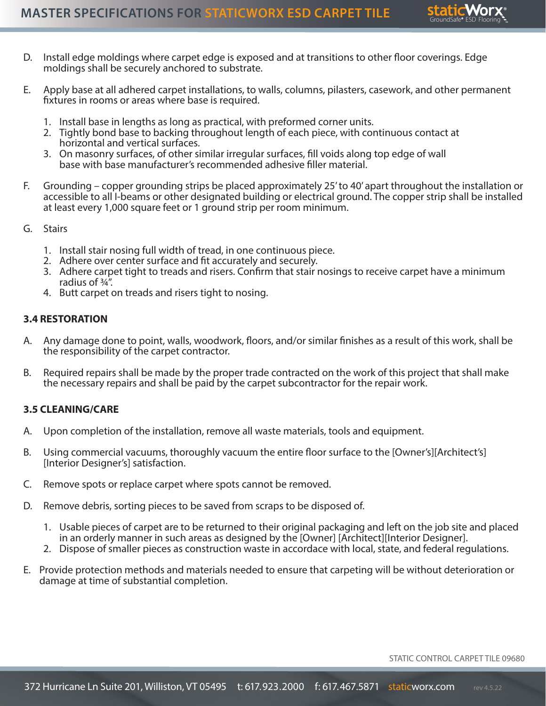

- D. Install edge moldings where carpet edge is exposed and at transitions to other floor coverings. Edge moldings shall be securely anchored to substrate.
- E. Apply base at all adhered carpet installations, to walls, columns, pilasters, casework, and other permanent fixtures in rooms or areas where base is required.
	- 1. Install base in lengths as long as practical, with preformed corner units.
	- 2. Tightly bond base to backing throughout length of each piece, with continuous contact at horizontal and vertical surfaces.
	- 3. On masonry surfaces, of other similar irregular surfaces, fill voids along top edge of wall base with base manufacturer's recommended adhesive filler material.
- F. Grounding copper grounding strips be placed approximately 25' to 40' apart throughout the installation or accessible to all I-beams or other designated building or electrical ground. The copper strip shall be installed at least every 1,000 square feet or 1 ground strip per room minimum.
- G. Stairs
	- 1. Install stair nosing full width of tread, in one continuous piece.
	- 2. Adhere over center surface and fit accurately and securely.
	- 3. Adhere carpet tight to treads and risers. Confirm that stair nosings to receive carpet have a minimum radius of ¾".
	- 4. Butt carpet on treads and risers tight to nosing.

#### **3.4 RESTORATION**

- A. Any damage done to point, walls, woodwork, floors, and/or similar finishes as a result of this work, shall be the responsibility of the carpet contractor.
- B. Required repairs shall be made by the proper trade contracted on the work of this project that shall make the necessary repairs and shall be paid by the carpet subcontractor for the repair work.

#### **3.5 CLEANING/CARE**

- A. Upon completion of the installation, remove all waste materials, tools and equipment.
- B. Using commercial vacuums, thoroughly vacuum the entire floor surface to the [Owner's][Architect's] [Interior Designer's] satisfaction.
- C. Remove spots or replace carpet where spots cannot be removed.
- D. Remove debris, sorting pieces to be saved from scraps to be disposed of.
	- 1. Usable pieces of carpet are to be returned to their original packaging and left on the job site and placed in an orderly manner in such areas as designed by the [Owner] [Architect][Interior Designer].
	- 2. Dispose of smaller pieces as construction waste in accordace with local, state, and federal regulations.
- E. Provide protection methods and materials needed to ensure that carpeting will be without deterioration or damage at time of substantial completion.